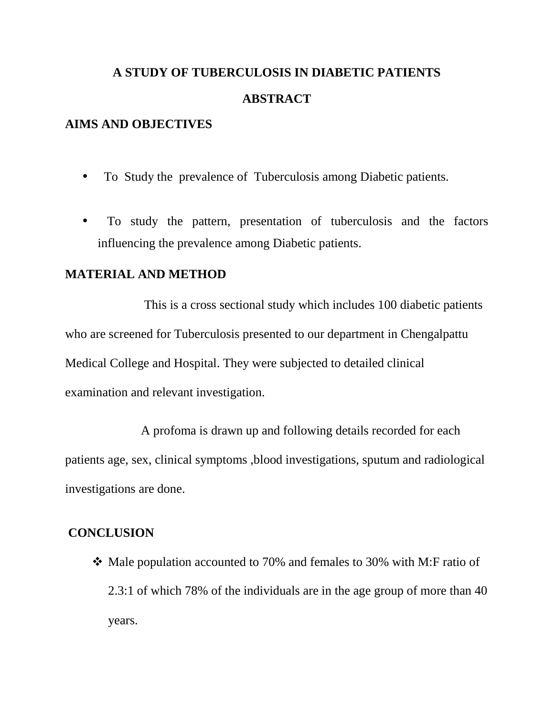# **A STUDY OF TUBERCULOSIS IN DIABETIC PATIENTS ABSTRACT**

## **AIMS AND OBJECTIVES**

- To Study the prevalence of Tuberculosis among Diabetic patients.
- To study the pattern, presentation of tuberculosis and the factors influencing the prevalence among Diabetic patients.

#### **MATERIAL AND METHOD**

This is a cross sectional study which includes 100 diabetic patients who are screened for Tuberculosis presented to our department in Chengalpattu Medical College and Hospital. They were subjected to detailed clinical examination and relevant investigation.

A profoma is drawn up and following details recorded for each patients age, sex, clinical symptoms ,blood investigations, sputum and radiological investigations are done.

#### **CONCLUSION**

 $\triangleleft$  Male population accounted to 70% and females to 30% with M:F ratio of 2.3:1 of which 78% of the individuals are in the age group of more than 40 years.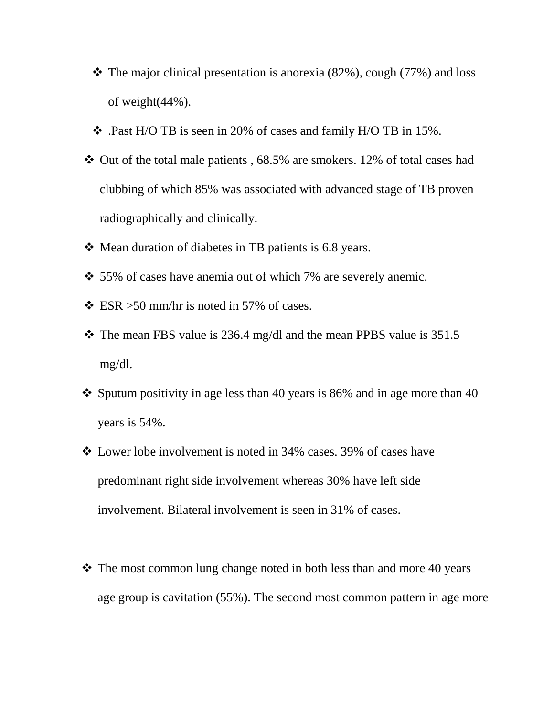- $\cdot$  The major clinical presentation is anorexia (82%), cough (77%) and loss of weight(44%).
- .Past H/O TB is seen in 20% of cases and family H/O TB in 15%.
- $\div$  Out of the total male patients, 68.5% are smokers. 12% of total cases had clubbing of which 85% was associated with advanced stage of TB proven radiographically and clinically.
- Mean duration of diabetes in TB patients is 6.8 years.
- $\div$  55% of cases have anemia out of which 7% are severely anemic.
- $\div$  ESR > 50 mm/hr is noted in 57% of cases.
- $\div$  The mean FBS value is 236.4 mg/dl and the mean PPBS value is 351.5 mg/dl.
- Sputum positivity in age less than 40 years is 86% and in age more than 40 years is 54%.
- Lower lobe involvement is noted in 34% cases. 39% of cases have predominant right side involvement whereas 30% have left side involvement. Bilateral involvement is seen in 31% of cases.
- $\cdot$  The most common lung change noted in both less than and more 40 years age group is cavitation (55%). The second most common pattern in age more